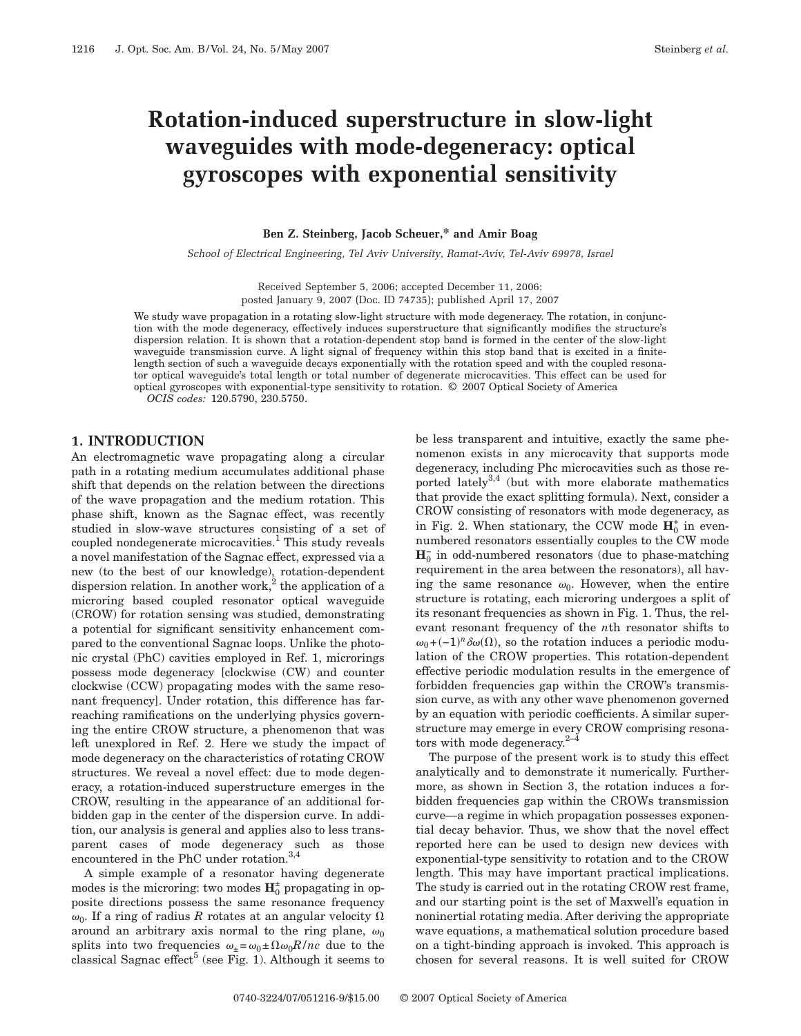# **Rotation-induced superstructure in slow-light waveguides with mode-degeneracy: optical gyroscopes with exponential sensitivity**

#### **Ben Z. Steinberg, Jacob Scheuer,\* and Amir Boag**

*School of Electrical Engineering, Tel Aviv University, Ramat-Aviv, Tel-Aviv 69978, Israel*

Received September 5, 2006; accepted December 11, 2006; posted January 9, 2007 (Doc. ID 74735); published April 17, 2007

We study wave propagation in a rotating slow-light structure with mode degeneracy. The rotation, in conjunction with the mode degeneracy, effectively induces superstructure that significantly modifies the structure's dispersion relation. It is shown that a rotation-dependent stop band is formed in the center of the slow-light waveguide transmission curve. A light signal of frequency within this stop band that is excited in a finitelength section of such a waveguide decays exponentially with the rotation speed and with the coupled resonator optical waveguide's total length or total number of degenerate microcavities. This effect can be used for optical gyroscopes with exponential-type sensitivity to rotation. © 2007 Optical Society of America

*OCIS codes:* 120.5790, 230.5750.

#### **1. INTRODUCTION**

An electromagnetic wave propagating along a circular path in a rotating medium accumulates additional phase shift that depends on the relation between the directions of the wave propagation and the medium rotation. This phase shift, known as the Sagnac effect, was recently studied in slow-wave structures consisting of a set of coupled nondegenerate microcavities.<sup>1</sup> This study reveals a novel manifestation of the Sagnac effect, expressed via a new (to the best of our knowledge), rotation-dependent dispersion relation. In another work,  $^{2}$  the application of a microring based coupled resonator optical waveguide (CROW) for rotation sensing was studied, demonstrating a potential for significant sensitivity enhancement compared to the conventional Sagnac loops. Unlike the photonic crystal (PhC) cavities employed in Ref. 1, microrings possess mode degeneracy [clockwise (CW) and counter clockwise (CCW) propagating modes with the same resonant frequency]. Under rotation, this difference has farreaching ramifications on the underlying physics governing the entire CROW structure, a phenomenon that was left unexplored in Ref. 2. Here we study the impact of mode degeneracy on the characteristics of rotating CROW structures. We reveal a novel effect: due to mode degeneracy, a rotation-induced superstructure emerges in the CROW, resulting in the appearance of an additional forbidden gap in the center of the dispersion curve. In addition, our analysis is general and applies also to less transparent cases of mode degeneracy such as those encountered in the PhC under rotation.<sup>3,4</sup>

A simple example of a resonator having degenerate modes is the microring: two modes  $\mathbf{H}_0^{\pm}$  propagating in opposite directions possess the same resonance frequency  $\omega_0$ . If a ring of radius  $R$  rotates at an angular velocity  $\Omega$ around an arbitrary axis normal to the ring plane,  $\omega_0$ splits into two frequencies  $\omega_{\pm} = \omega_0 \pm \Omega \omega_0 R / nc$  due to the classical Sagnac effect<sup>5</sup> (see Fig. 1). Although it seems to be less transparent and intuitive, exactly the same phenomenon exists in any microcavity that supports mode degeneracy, including Phc microcavities such as those reported lately $^{3,4}$  (but with more elaborate mathematics that provide the exact splitting formula). Next, consider a CROW consisting of resonators with mode degeneracy, as in Fig. 2. When stationary, the CCW mode  $H_0^+$  in evennumbered resonators essentially couples to the CW mode  $\mathbf{H}_{0}^{-}$  in odd-numbered resonators (due to phase-matching requirement in the area between the resonators), all having the same resonance  $\omega_0$ . However, when the entire structure is rotating, each microring undergoes a split of its resonant frequencies as shown in Fig. 1. Thus, the relevant resonant frequency of the *n*th resonator shifts to  $\omega_0$ +(-1)<sup>n</sup>  $\delta\omega(\Omega)$ , so the rotation induces a periodic modulation of the CROW properties. This rotation-dependent effective periodic modulation results in the emergence of forbidden frequencies gap within the CROW's transmission curve, as with any other wave phenomenon governed by an equation with periodic coefficients. A similar superstructure may emerge in every CROW comprising resonators with mode degeneracy. $2-4$ 

The purpose of the present work is to study this effect analytically and to demonstrate it numerically. Furthermore, as shown in Section 3, the rotation induces a forbidden frequencies gap within the CROWs transmission curve—a regime in which propagation possesses exponential decay behavior. Thus, we show that the novel effect reported here can be used to design new devices with exponential-type sensitivity to rotation and to the CROW length. This may have important practical implications. The study is carried out in the rotating CROW rest frame, and our starting point is the set of Maxwell's equation in noninertial rotating media. After deriving the appropriate wave equations, a mathematical solution procedure based on a tight-binding approach is invoked. This approach is chosen for several reasons. It is well suited for CROW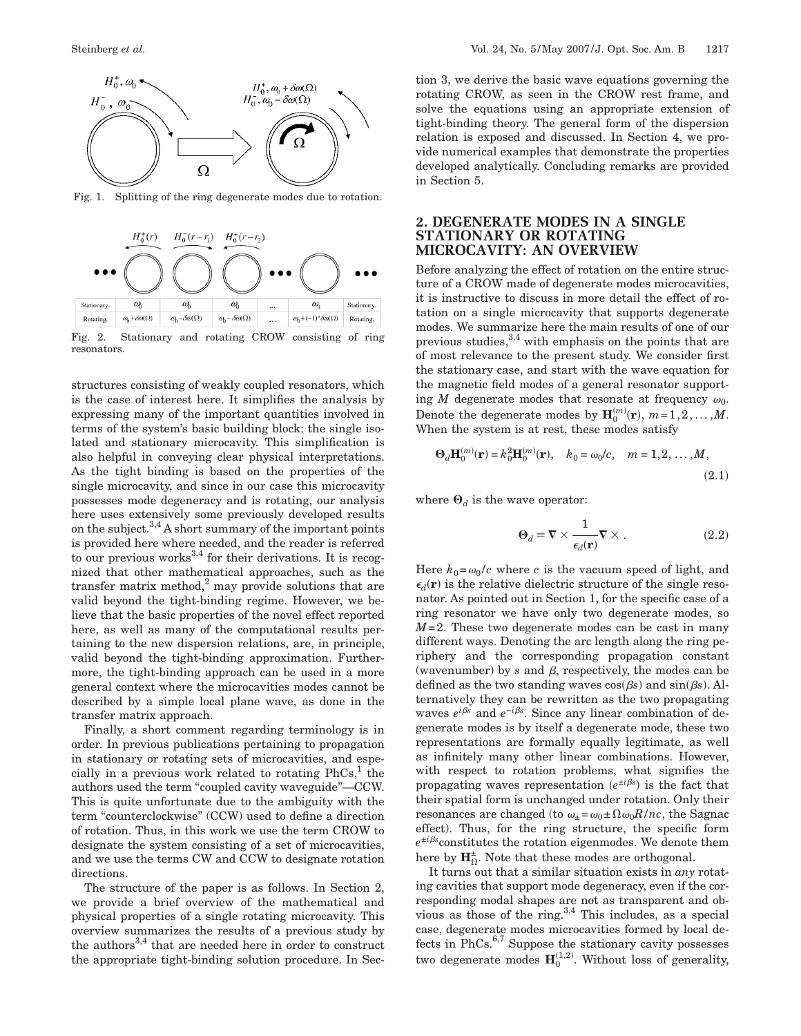

Fig. 1. Splitting of the ring degenerate modes due to rotation.



Fig. 2. Stationary and rotating CROW consisting of ring resonators.

structures consisting of weakly coupled resonators, which is the case of interest here. It simplifies the analysis by expressing many of the important quantities involved in terms of the system's basic building block: the single isolated and stationary microcavity. This simplification is also helpful in conveying clear physical interpretations. As the tight binding is based on the properties of the single microcavity, and since in our case this microcavity possesses mode degeneracy and is rotating, our analysis here uses extensively some previously developed results on the subject.<sup>3,4</sup> A short summary of the important points is provided here where needed, and the reader is referred to our previous works $3,4$  for their derivations. It is recognized that other mathematical approaches, such as the transfer matrix method, $^{2}$  may provide solutions that are valid beyond the tight-binding regime. However, we believe that the basic properties of the novel effect reported here, as well as many of the computational results pertaining to the new dispersion relations, are, in principle, valid beyond the tight-binding approximation. Furthermore, the tight-binding approach can be used in a more general context where the microcavities modes cannot be described by a simple local plane wave, as done in the transfer matrix approach.

Finally, a short comment regarding terminology is in order. In previous publications pertaining to propagation in stationary or rotating sets of microcavities, and especially in a previous work related to rotating  $PhCs<sup>1</sup>$ , the authors used the term "coupled cavity waveguide"—CCW. This is quite unfortunate due to the ambiguity with the term "counterclockwise" (CCW) used to define a direction of rotation. Thus, in this work we use the term CROW to designate the system consisting of a set of microcavities, and we use the terms CW and CCW to designate rotation directions.

The structure of the paper is as follows. In Section 2, we provide a brief overview of the mathematical and physical properties of a single rotating microcavity. This overview summarizes the results of a previous study by the authors<sup>3,4</sup> that are needed here in order to construct the appropriate tight-binding solution procedure. In Section 3, we derive the basic wave equations governing the rotating CROW, as seen in the CROW rest frame, and solve the equations using an appropriate extension of tight-binding theory. The general form of the dispersion relation is exposed and discussed. In Section 4, we provide numerical examples that demonstrate the properties developed analytically. Concluding remarks are provided in Section 5.

### **2. DEGENERATE MODES IN A SINGLE STATIONARY OR ROTATING MICROCAVITY: AN OVERVIEW**

Before analyzing the effect of rotation on the entire structure of a CROW made of degenerate modes microcavities, it is instructive to discuss in more detail the effect of rotation on a single microcavity that supports degenerate modes. We summarize here the main results of one of our previous studies,  $3,4$  with emphasis on the points that are of most relevance to the present study. We consider first the stationary case, and start with the wave equation for the magnetic field modes of a general resonator supporting *M* degenerate modes that resonate at frequency  $\omega_0$ . Denote the degenerate modes by  $\mathbf{H}_{0}^{(m)}(\mathbf{r}), m=1,2,...,M$ . When the system is at rest, these modes satisfy

$$
\Theta_d \mathbf{H}_0^{(m)}(\mathbf{r}) = k_0^2 \mathbf{H}_0^{(m)}(\mathbf{r}), \quad k_0 = \omega_0/c, \quad m = 1, 2, ..., M,
$$
\n(2.1)

where  $\mathbf{\Theta}_d$  is the wave operator:

$$
\Theta_d = \nabla \times \frac{1}{\epsilon_d(\mathbf{r})} \nabla \times .
$$
 (2.2)

Here  $k_0 = \omega_0/c$  where *c* is the vacuum speed of light, and  $\epsilon_d(\mathbf{r})$  is the relative dielectric structure of the single resonator. As pointed out in Section 1, for the specific case of a ring resonator we have only two degenerate modes, so *M*=2. These two degenerate modes can be cast in many different ways. Denoting the arc length along the ring periphery and the corresponding propagation constant (wavenumber) by  $s$  and  $\beta$ , respectively, the modes can be defined as the two standing waves  $cos(\beta s)$  and  $sin(\beta s)$ . Alternatively they can be rewritten as the two propagating waves  $e^{i\beta s}$  and  $e^{-i\beta s}$ . Since any linear combination of degenerate modes is by itself a degenerate mode, these two representations are formally equally legitimate, as well as infinitely many other linear combinations. However, with respect to rotation problems, what signifies the propagating waves representation  $(e^{it\beta s})$  is the fact that their spatial form is unchanged under rotation. Only their resonances are changed (to  $\omega_z = \omega_0 \pm \Omega \omega_0 R / nc$ , the Sagnac effect). Thus, for the ring structure, the specific form  $e^{\pm i\beta s}$  constitutes the rotation eigenmodes. We denote them here by  $\mathbf{H}_{\Omega}^{\pm}$ . Note that these modes are orthogonal.

It turns out that a similar situation exists in *any* rotating cavities that support mode degeneracy, even if the corresponding modal shapes are not as transparent and obvious as those of the ring. $3,4$  This includes, as a special case, degenerate modes microcavities formed by local defects in  $PhCs$ .<sup>6,7</sup> Suppose the stationary cavity possesses two degenerate modes  $\mathbf{H}^{(1,2)}_0$ . Without loss of generality,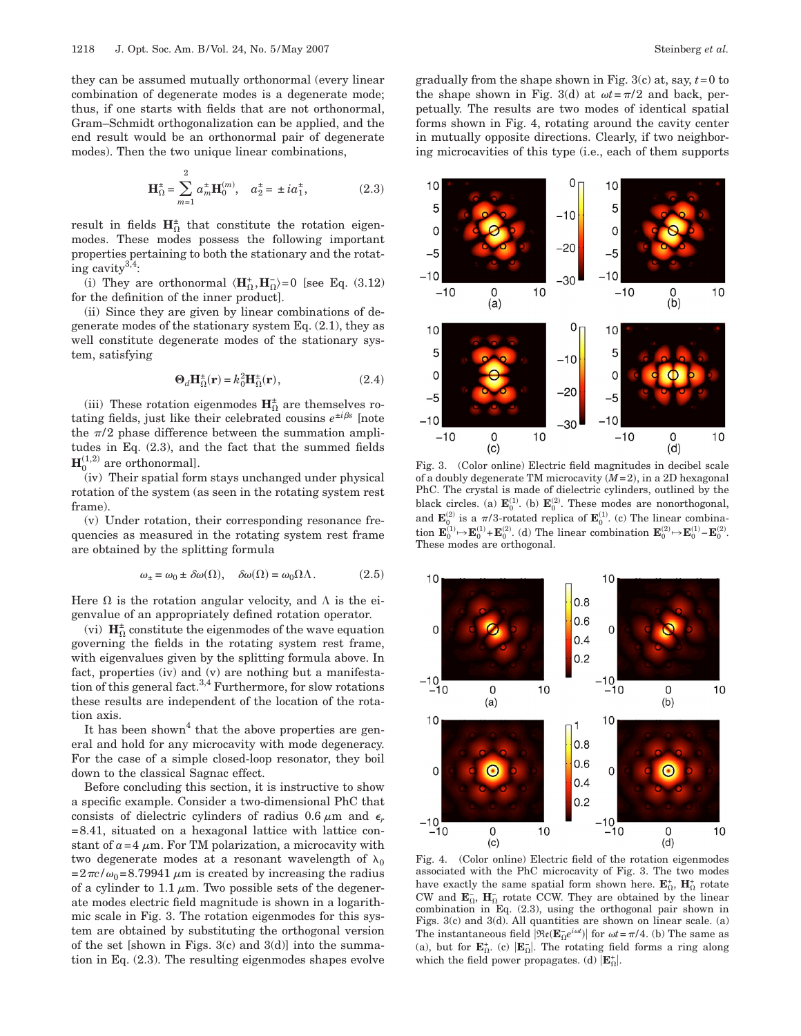$\Omega$ 

they can be assumed mutually orthonormal (every linear combination of degenerate modes is a degenerate mode; thus, if one starts with fields that are not orthonormal, Gram–Schmidt orthogonalization can be applied, and the end result would be an orthonormal pair of degenerate modes). Then the two unique linear combinations,

$$
\mathbf{H}_{\Omega}^{\pm} = \sum_{m=1}^{\infty} a_m^{\pm} \mathbf{H}_0^{(m)}, \quad a_2^{\pm} = \pm i a_1^{\pm}, \tag{2.3}
$$

result in fields  $H_0^{\pm}$  that constitute the rotation eigen modes. These modes possess the following important properties pertaining to both the stationary and the rotating cavity3,4:

(i) They are orthonormal  $\langle \mathbf{H}_{\Omega}^*, \mathbf{H}_{\Omega}^- \rangle = 0$  [see Eq. (3.12) for the definition of the inner product].

(ii) Since they are given by linear combinations of degenerate modes of the stationary system Eq. (2.1), they as well constitute degenerate modes of the stationary system, satisfying

$$
\Theta_d \mathbf{H}_{\Omega}^{\pm}(\mathbf{r}) = k_0^2 \mathbf{H}_{\Omega}^{\pm}(\mathbf{r}),\tag{2.4}
$$

(iii) These rotation eigenmodes  $\mathbf{H}_{\Omega}^{\pm}$  are themselves rotating fields, just like their celebrated cousins  $e^{\pm i\beta s}$  [note the  $\pi/2$  phase difference between the summation amplitudes in Eq. (2.3), and the fact that the summed fields  $\mathbf{H}_{0}^{(1,2)}$  are orthonormal].

(iv) Their spatial form stays unchanged under physical rotation of the system (as seen in the rotating system rest frame).

(v) Under rotation, their corresponding resonance frequencies as measured in the rotating system rest frame are obtained by the splitting formula

$$
\omega_{\pm} = \omega_0 \pm \delta \omega(\Omega), \quad \delta \omega(\Omega) = \omega_0 \Omega \Lambda. \tag{2.5}
$$

Here  $\Omega$  is the rotation angular velocity, and  $\Lambda$  is the eigenvalue of an appropriately defined rotation operator.

(vi)  $\mathbf{H}_{\Omega}^{\pm}$  constitute the eigenmodes of the wave equation governing the fields in the rotating system rest frame, with eigenvalues given by the splitting formula above. In fact, properties (iv) and (v) are nothing but a manifestation of this general fact.<sup>3,4</sup> Furthermore, for slow rotations these results are independent of the location of the rotation axis.

It has been shown<sup>4</sup> that the above properties are general and hold for any microcavity with mode degeneracy. For the case of a simple closed-loop resonator, they boil down to the classical Sagnac effect.

Before concluding this section, it is instructive to show a specific example. Consider a two-dimensional PhC that consists of dielectric cylinders of radius  $0.6 \mu m$  and  $\epsilon_r$ =8.41, situated on a hexagonal lattice with lattice constant of  $a=4 \mu m$ . For TM polarization, a microcavity with two degenerate modes at a resonant wavelength of  $\lambda_0$  $=2\pi c/\omega_0=8.79941 \mu m$  is created by increasing the radius of a cylinder to 1.1  $\mu$ m. Two possible sets of the degenerate modes electric field magnitude is shown in a logarithmic scale in Fig. 3. The rotation eigenmodes for this system are obtained by substituting the orthogonal version of the set [shown in Figs.  $3(c)$  and  $3(d)$ ] into the summation in Eq. (2.3). The resulting eigenmodes shapes evolve

gradually from the shape shown in Fig. 3(c) at, say, *t*=0 to the shape shown in Fig. 3(d) at  $\omega t = \pi/2$  and back, perpetually. The results are two modes of identical spatial forms shown in Fig. 4, rotating around the cavity center in mutually opposite directions. Clearly, if two neighboring microcavities of this type (i.e., each of them supports



Fig. 3. (Color online) Electric field magnitudes in decibel scale of a doubly degenerate TM microcavity ( $M=2$ ), in a 2D hexagonal PhC. The crystal is made of dielectric cylinders, outlined by the black circles. (a)  $\mathbf{E}_0^{(1)}$ . (b)  $\mathbf{E}_0^{(2)}$ . These modes are nonorthogonal, and  $\mathbf{E}_0^{(2)}$  is a  $\pi/3$ -rotated replica of  $\mathbf{E}_0^{(1)}$ . (c) The linear combination  $\mathbf{E}_0^{(1)} \rightarrow \mathbf{E}_0^{(1)} + \mathbf{E}_0^{(2)}$ . (d) The linear combination  $\mathbf{E}_0^{(2)} \rightarrow \mathbf{E}_0^{(1)} - \mathbf{E}_0^{(2)}$ . These modes are orthogonal.



Fig. 4. (Color online) Electric field of the rotation eigenmodes associated with the PhC microcavity of Fig. 3. The two modes have exactly the same spatial form shown here.  $\mathbf{E}^{\text{+}}_{\Omega}$ ,  $\mathbf{H}^{\text{+}}_{\Omega}$  rotate CW and  $\mathbf{E}_0$ ,  $\mathbf{H}_0$  rotate CCW. They are obtained by the linear combination in Eq. (2.3), using the orthogonal pair shown in Figs. 3(c) and 3(d). All quantities are shown on linear scale. (a) The instantaneous field  $|\Re(\mathbf{E}_{\Omega}^{-}e^{i\omega t})|$  for  $\omega t = \pi/4$ . (b) The same as (a), but for  $\mathbf{E}_{\Omega}^{+}$ . (c)  $|\mathbf{E}_{\Omega}^{-}|$ . The rotating field forms a ring along which the field power propagates. (d)  $|\mathbf{E}_{\Omega}^{+}|$ .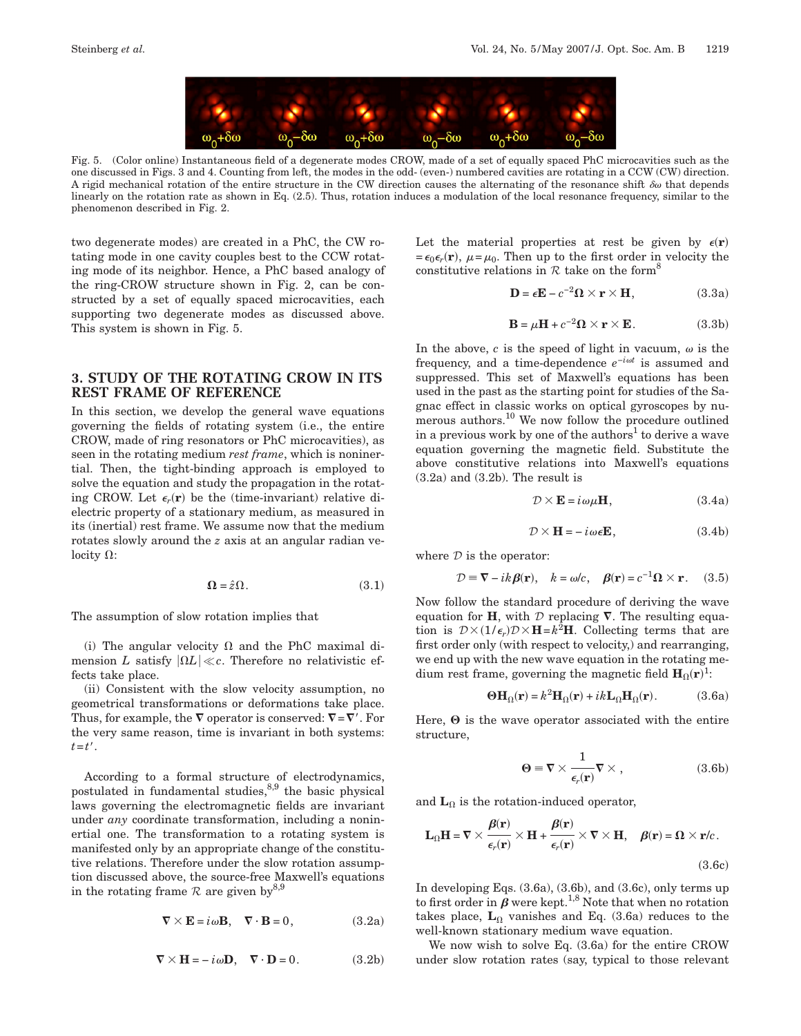

Fig. 5. (Color online) Instantaneous field of a degenerate modes CROW, made of a set of equally spaced PhC microcavities such as the one discussed in Figs. 3 and 4. Counting from left, the modes in the odd- (even-) numbered cavities are rotating in a CCW (CW) direction. A rigid mechanical rotation of the entire structure in the CW direction causes the alternating of the resonance shift  $\delta\omega$  that depends linearly on the rotation rate as shown in Eq. (2.5). Thus, rotation induces a modulation of the local resonance frequency, similar to the phenomenon described in Fig. 2.

two degenerate modes) are created in a PhC, the CW rotating mode in one cavity couples best to the CCW rotating mode of its neighbor. Hence, a PhC based analogy of the ring-CROW structure shown in Fig. 2, can be constructed by a set of equally spaced microcavities, each supporting two degenerate modes as discussed above. This system is shown in Fig. 5.

### **3. STUDY OF THE ROTATING CROW IN ITS REST FRAME OF REFERENCE**

In this section, we develop the general wave equations governing the fields of rotating system (i.e., the entire CROW, made of ring resonators or PhC microcavities), as seen in the rotating medium *rest frame*, which is noninertial. Then, the tight-binding approach is employed to solve the equation and study the propagation in the rotating CROW. Let  $\epsilon_r(\mathbf{r})$  be the (time-invariant) relative dielectric property of a stationary medium, as measured in its (inertial) rest frame. We assume now that the medium rotates slowly around the *z* axis at an angular radian velocity  $\Omega$ :

$$
\Omega = \hat{z}\Omega. \tag{3.1}
$$

The assumption of slow rotation implies that

(i) The angular velocity  $\Omega$  and the PhC maximal dimension *L* satisfy  $|\Omega L| \ll c$ . Therefore no relativistic effects take place.

(ii) Consistent with the slow velocity assumption, no geometrical transformations or deformations take place. Thus, for example, the  $\nabla$  operator is conserved:  $\nabla = \nabla'$  . For the very same reason, time is invariant in both systems:  $t=t'$ .

According to a formal structure of electrodynamics, postulated in fundamental studies, $8,9$  the basic physical laws governing the electromagnetic fields are invariant under *any* coordinate transformation, including a noninertial one. The transformation to a rotating system is manifested only by an appropriate change of the constitutive relations. Therefore under the slow rotation assumption discussed above, the source-free Maxwell's equations in the rotating frame  $R$  are given by<sup>8,9</sup>

$$
\nabla \times \mathbf{E} = i\omega \mathbf{B}, \quad \nabla \cdot \mathbf{B} = 0, \tag{3.2a}
$$

$$
\nabla \times \mathbf{H} = -i\omega \mathbf{D}, \quad \nabla \cdot \mathbf{D} = 0.
$$
 (3.2b)

Let the material properties at rest be given by  $\epsilon(\mathbf{r})$  $=\epsilon_0 \epsilon_r(\mathbf{r})$ ,  $\mu = \mu_0$ . Then up to the first order in velocity the constitutive relations in  $R$  take on the form<sup>8</sup>

$$
\mathbf{D} = \epsilon \mathbf{E} - c^{-2} \mathbf{\Omega} \times \mathbf{r} \times \mathbf{H}, \qquad (3.3a)
$$

$$
\mathbf{B} = \mu \mathbf{H} + c^{-2} \Omega \times \mathbf{r} \times \mathbf{E}.
$$
 (3.3b)

In the above,  $c$  is the speed of light in vacuum,  $\omega$  is the frequency, and a time-dependence *e*−*i<sup>t</sup>* is assumed and suppressed. This set of Maxwell's equations has been used in the past as the starting point for studies of the Sagnac effect in classic works on optical gyroscopes by numerous authors.<sup>10</sup> We now follow the procedure outlined in a previous work by one of the authors<sup>1</sup> to derive a wave equation governing the magnetic field. Substitute the above constitutive relations into Maxwell's equations (3.2a) and (3.2b). The result is

$$
\mathcal{D} \times \mathbf{E} = i\omega\mu\mathbf{H},\tag{3.4a}
$$

$$
\mathcal{D} \times \mathbf{H} = -i\omega \epsilon \mathbf{E},\tag{3.4b}
$$

where  $D$  is the operator:

$$
\mathcal{D} \equiv \nabla - ik \beta(\mathbf{r}), \quad k = \omega/c, \quad \beta(\mathbf{r}) = c^{-1} \Omega \times \mathbf{r}. \tag{3.5}
$$

Now follow the standard procedure of deriving the wave equation for **H**, with  $\mathcal{D}$  replacing  $\nabla$ . The resulting equation is  $D \times (1/\epsilon_r)D \times H = k^2H$ . Collecting terms that are first order only (with respect to velocity,) and rearranging, we end up with the new wave equation in the rotating medium rest frame, governing the magnetic field  $\mathbf{H}_{\Omega}(\mathbf{r})^1$ :

$$
\Theta \mathbf{H}_{\Omega}(\mathbf{r}) = k^2 \mathbf{H}_{\Omega}(\mathbf{r}) + ik \mathbf{L}_{\Omega} \mathbf{H}_{\Omega}(\mathbf{r}).
$$
 (3.6a)

Here,  $\Theta$  is the wave operator associated with the entire structure,

$$
\Theta \equiv \nabla \times \frac{1}{\epsilon_r(\mathbf{r})} \nabla \times , \qquad (3.6b)
$$

and  $\mathbf{L}_{\Omega}$  is the rotation-induced operator,

$$
\mathbf{L}_{\Omega}\mathbf{H} = \nabla \times \frac{\beta(\mathbf{r})}{\epsilon_r(\mathbf{r})} \times \mathbf{H} + \frac{\beta(\mathbf{r})}{\epsilon_r(\mathbf{r})} \times \nabla \times \mathbf{H}, \quad \beta(\mathbf{r}) = \Omega \times \mathbf{r}/c.
$$
\n(3.6c)

In developing Eqs. (3.6a), (3.6b), and (3.6c), only terms up to first order in  $\beta$  were kept.<sup>1,8</sup> Note that when no rotation takes place,  $\mathbf{L}_{\Omega}$  vanishes and Eq. (3.6a) reduces to the well-known stationary medium wave equation.

We now wish to solve Eq. (3.6a) for the entire CROW under slow rotation rates (say, typical to those relevant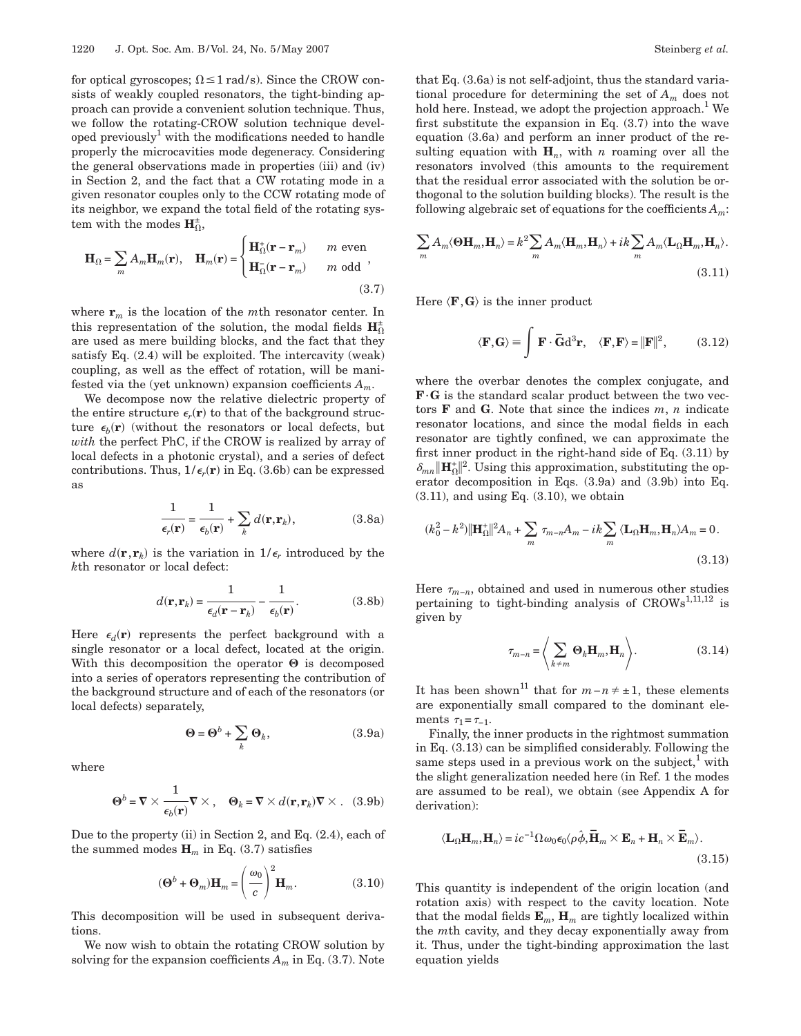for optical gyroscopes;  $\Omega \leq 1$  rad/s). Since the CROW consists of weakly coupled resonators, the tight-binding approach can provide a convenient solution technique. Thus, we follow the rotating-CROW solution technique developed previously<sup>1</sup> with the modifications needed to handle properly the microcavities mode degeneracy. Considering the general observations made in properties (iii) and (iv) in Section 2, and the fact that a CW rotating mode in a given resonator couples only to the CCW rotating mode of its neighbor, we expand the total field of the rotating system with the modes  $\mathbf{H}_{\Omega}^{\pm}$ ,

$$
\mathbf{H}_{\Omega} = \sum_{m} A_{m} \mathbf{H}_{m}(\mathbf{r}), \quad \mathbf{H}_{m}(\mathbf{r}) = \begin{cases} \mathbf{H}_{\Omega}^{+}(\mathbf{r} - \mathbf{r}_{m}) & m \text{ even} \\ \mathbf{H}_{\Omega}^{-}(\mathbf{r} - \mathbf{r}_{m}) & m \text{ odd} \end{cases},
$$
\n(3.7)

where  $\mathbf{r}_m$  is the location of the *m*th resonator center. In this representation of the solution, the modal fields  $\mathbf{H}_{\Omega}^{\pm}$ are used as mere building blocks, and the fact that they satisfy Eq. (2.4) will be exploited. The intercavity (weak) coupling, as well as the effect of rotation, will be manifested via the (yet unknown) expansion coefficients *Am*.

We decompose now the relative dielectric property of the entire structure  $\epsilon_r(\mathbf{r})$  to that of the background structure  $\epsilon_b(\mathbf{r})$  (without the resonators or local defects, but *with* the perfect PhC, if the CROW is realized by array of local defects in a photonic crystal), and a series of defect contributions. Thus,  $1/\epsilon_r(\mathbf{r})$  in Eq. (3.6b) can be expressed as

$$
\frac{1}{\epsilon_r(\mathbf{r})} = \frac{1}{\epsilon_b(\mathbf{r})} + \sum_k d(\mathbf{r}, \mathbf{r}_k),
$$
 (3.8a)

where  $d(\mathbf{r}, \mathbf{r}_k)$  is the variation in  $1/\epsilon_r$  introduced by the *k*th resonator or local defect:

$$
d(\mathbf{r}, \mathbf{r}_k) = \frac{1}{\epsilon_d (\mathbf{r} - \mathbf{r}_k)} - \frac{1}{\epsilon_b (\mathbf{r})}.
$$
 (3.8b)

Here  $\epsilon_d(\mathbf{r})$  represents the perfect background with a single resonator or a local defect, located at the origin. With this decomposition the operator  $\Theta$  is decomposed into a series of operators representing the contribution of the background structure and of each of the resonators (or local defects) separately,

$$
\Theta = \Theta^b + \sum_k \Theta_k, \tag{3.9a}
$$

where

$$
\mathbf{\Theta}^b = \mathbf{\nabla} \times \frac{1}{\epsilon_b(\mathbf{r})} \mathbf{\nabla} \times, \quad \mathbf{\Theta}_k = \mathbf{\nabla} \times d(\mathbf{r}, \mathbf{r}_k) \mathbf{\nabla} \times. \quad (3.9b)
$$

Due to the property (ii) in Section 2, and Eq. (2.4), each of the summed modes  $\mathbf{H}_m$  in Eq. (3.7) satisfies

$$
(\mathbf{\Theta}^b + \mathbf{\Theta}_m)\mathbf{H}_m = \left(\frac{\omega_0}{c}\right)^2 \mathbf{H}_m.
$$
 (3.10)

This decomposition will be used in subsequent derivations.

We now wish to obtain the rotating CROW solution by solving for the expansion coefficients  $A_m$  in Eq. (3.7). Note that Eq. (3.6a) is not self-adjoint, thus the standard variational procedure for determining the set of *Am* does not hold here. Instead, we adopt the projection approach.<sup>1</sup> We first substitute the expansion in Eq. (3.7) into the wave equation (3.6a) and perform an inner product of the resulting equation with  $H_n$ , with *n* roaming over all the resonators involved (this amounts to the requirement that the residual error associated with the solution be orthogonal to the solution building blocks). The result is the following algebraic set of equations for the coefficients *Am*:

$$
\sum_{m} A_{m} \langle \mathbf{\Theta} \mathbf{H}_{m}, \mathbf{H}_{n} \rangle = k^{2} \sum_{m} A_{m} \langle \mathbf{H}_{m}, \mathbf{H}_{n} \rangle + ik \sum_{m} A_{m} \langle \mathbf{L}_{\Omega} \mathbf{H}_{m}, \mathbf{H}_{n} \rangle.
$$
\n(3.11)

Here  $\langle \mathbf{F}, \mathbf{G} \rangle$  is the inner product

$$
\langle \mathbf{F}, \mathbf{G} \rangle \equiv \int \mathbf{F} \cdot \overline{\mathbf{G}} d^3 \mathbf{r}, \quad \langle \mathbf{F}, \mathbf{F} \rangle = ||\mathbf{F}||^2, \quad (3.12)
$$

where the overbar denotes the complex conjugate, and **F**·**G** is the standard scalar product between the two vectors **F** and **G**. Note that since the indices *m*, *n* indicate resonator locations, and since the modal fields in each resonator are tightly confined, we can approximate the first inner product in the right-hand side of Eq. (3.11) by  $\delta_{mn}$  **H**<sub>n</sub><sup>1</sup> $\parallel$ <sup>2</sup>. Using this approximation, substituting the op erator decomposition in Eqs. (3.9a) and (3.9b) into Eq.  $(3.11)$ , and using Eq.  $(3.10)$ , we obtain

$$
(k_0^2 - k^2) \|\mathbf{H}_{\Omega}^+\|^2 A_n + \sum_m \tau_{m-n} A_m - ik \sum_m \langle \mathbf{L}_{\Omega} \mathbf{H}_m, \mathbf{H}_n \rangle A_m = 0.
$$
\n(3.13)

Here  $\tau_{m-n}$ , obtained and used in numerous other studies pertaining to tight-binding analysis of  $CROWs^{1,11,12}$  is given by

$$
\tau_{m-n} = \left\langle \sum_{k \neq m} \mathbf{\Theta}_k \mathbf{H}_m, \mathbf{H}_n \right\rangle. \tag{3.14}
$$

It has been shown<sup>11</sup> that for  $m-n \neq \pm 1$ , these elements are exponentially small compared to the dominant elements  $\tau_1 = \tau_{-1}$ .

Finally, the inner products in the rightmost summation in Eq. (3.13) can be simplified considerably. Following the same steps used in a previous work on the subject, $<sup>1</sup>$  with</sup> the slight generalization needed here (in Ref. 1 the modes are assumed to be real), we obtain (see Appendix A for derivation):

$$
\langle \mathbf{L}_{\Omega} \mathbf{H}_{m}, \mathbf{H}_{n} \rangle = ic^{-1} \Omega \omega_{0} \epsilon_{0} \langle \rho \hat{\phi}, \overline{\mathbf{H}}_{m} \times \mathbf{E}_{n} + \mathbf{H}_{n} \times \overline{\mathbf{E}}_{m} \rangle.
$$
\n(3.15)

This quantity is independent of the origin location (and rotation axis) with respect to the cavity location. Note that the modal fields  $\mathbf{E}_m$ ,  $\mathbf{H}_m$  are tightly localized within the *m*th cavity, and they decay exponentially away from it. Thus, under the tight-binding approximation the last equation yields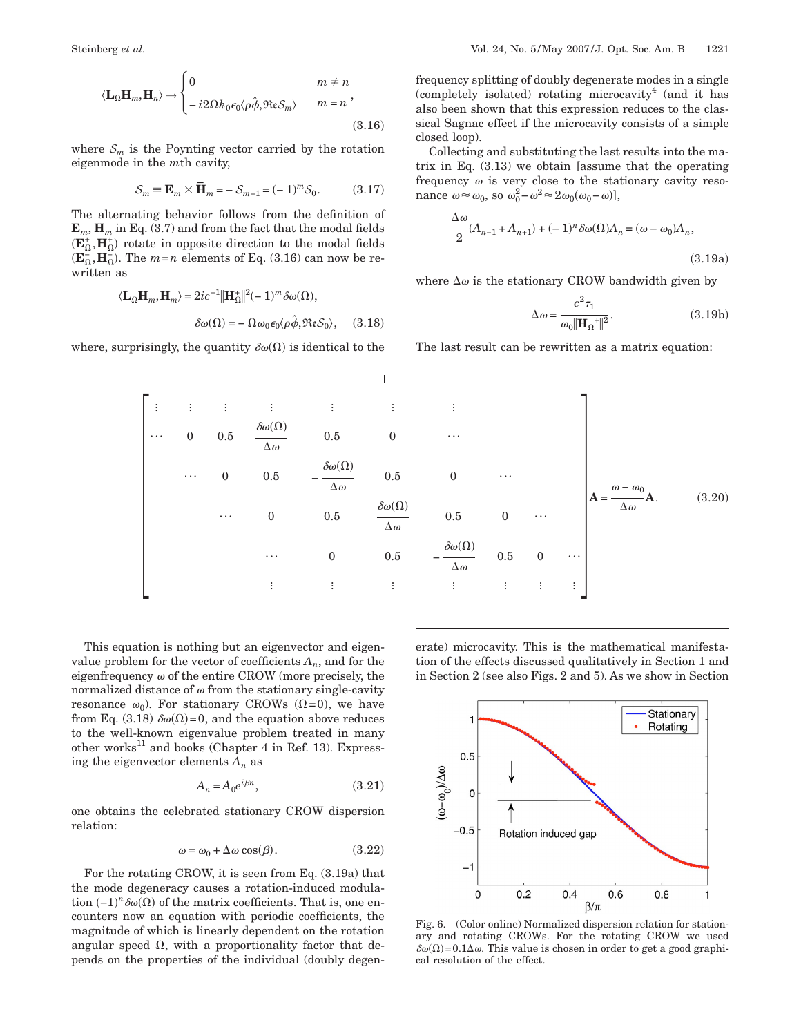$$
\langle \mathbf{L}_{\Omega} \mathbf{H}_{m}, \mathbf{H}_{n} \rangle \rightarrow \begin{cases} 0 & m \neq n \\ -i2\Omega k_{0} \epsilon_{0} \langle \rho \hat{\phi}, \Re \epsilon S_{m} \rangle & m = n \end{cases},
$$
\n(3.16)

where  $S_m$  is the Poynting vector carried by the rotation eigenmode in the *m*th cavity,

$$
\mathcal{S}_m \equiv \mathbf{E}_m \times \mathbf{\bar{H}}_m = -\mathcal{S}_{m-1} = (-1)^m \mathcal{S}_0. \tag{3.17}
$$

The alternating behavior follows from the definition of  $\mathbf{E}_m$ ,  $\mathbf{H}_m$  in Eq. (3.7) and from the fact that the modal fields  $(\mathbf{E}_{\Omega}^*, \mathbf{H}_{\Omega}^*)$  rotate in opposite direction to the modal fields  $(\mathbf{E}_{\Omega}^-, \mathbf{H}_{\Omega}^-)$ . The  $m=n$  elements of Eq. (3.16) can now be rewritten as

$$
\langle \mathbf{L}_{\Omega} \mathbf{H}_{m}, \mathbf{H}_{m} \rangle = 2ic^{-1} ||\mathbf{H}_{\Omega}^{+}||^{2} (-1)^{m} \delta \omega(\Omega),
$$

$$
\delta \omega(\Omega) = -\Omega \omega_{0} \epsilon_{0} \langle \rho \hat{\phi}, \Re \epsilon S_{0} \rangle, \quad (3.18)
$$

where, surprisingly, the quantity  $\delta \omega(\Omega)$  is identical to the

frequency splitting of doubly degenerate modes in a single (completely isolated) rotating microcavity<sup>4</sup> (and it has also been shown that this expression reduces to the classical Sagnac effect if the microcavity consists of a simple closed loop).

Collecting and substituting the last results into the matrix in Eq.  $(3.13)$  we obtain [assume that the operating frequency  $\omega$  is very close to the stationary cavity resonance  $\omega \approx \omega_0$ , so  $\omega_0^2 - \omega^2 \approx 2\omega_0(\omega_0 - \omega)$ ],

$$
\frac{\Delta\omega}{2}(A_{n-1} + A_{n+1}) + (-1)^n \delta\omega(\Omega)A_n = (\omega - \omega_0)A_n,
$$
\n(3.19a)

where  $\Delta\omega$  is the stationary CROW bandwidth given by

$$
\Delta \omega = \frac{c^2 \tau_1}{\omega_0 \|\mathbf{H}_{\Omega}^{\dagger}\|^2}.
$$
\n(3.19b)

The last result can be rewritten as a matrix equation:



This equation is nothing but an eigenvector and eigenvalue problem for the vector of coefficients  $A_n$ , and for the eigenfrequency  $\omega$  of the entire CROW (more precisely, the normalized distance of  $\omega$  from the stationary single-cavity resonance  $\omega_0$ ). For stationary CROWs ( $\Omega$ =0), we have from Eq. (3.18)  $\delta \omega(\Omega)$ =0, and the equation above reduces to the well-known eigenvalue problem treated in many other works<sup>11</sup> and books (Chapter 4 in Ref. 13). Expressing the eigenvector elements  $A_n$  as

$$
A_n = A_0 e^{i\beta n}, \tag{3.21}
$$

one obtains the celebrated stationary CROW dispersion relation:

$$
\omega = \omega_0 + \Delta \omega \cos(\beta). \tag{3.22}
$$

For the rotating CROW, it is seen from Eq. (3.19a) that the mode degeneracy causes a rotation-induced modulation  $(-1)^n \delta \omega(\Omega)$  of the matrix coefficients. That is, one encounters now an equation with periodic coefficients, the magnitude of which is linearly dependent on the rotation angular speed  $\Omega$ , with a proportionality factor that depends on the properties of the individual (doubly degenerate) microcavity. This is the mathematical manifestation of the effects discussed qualitatively in Section 1 and in Section 2 (see also Figs. 2 and 5). As we show in Section



Fig. 6. (Color online) Normalized dispersion relation for stationary and rotating CROWs. For the rotating CROW we used  $\delta\omega(\Omega)$  = 0.1 $\Delta\omega$ . This value is chosen in order to get a good graphical resolution of the effect.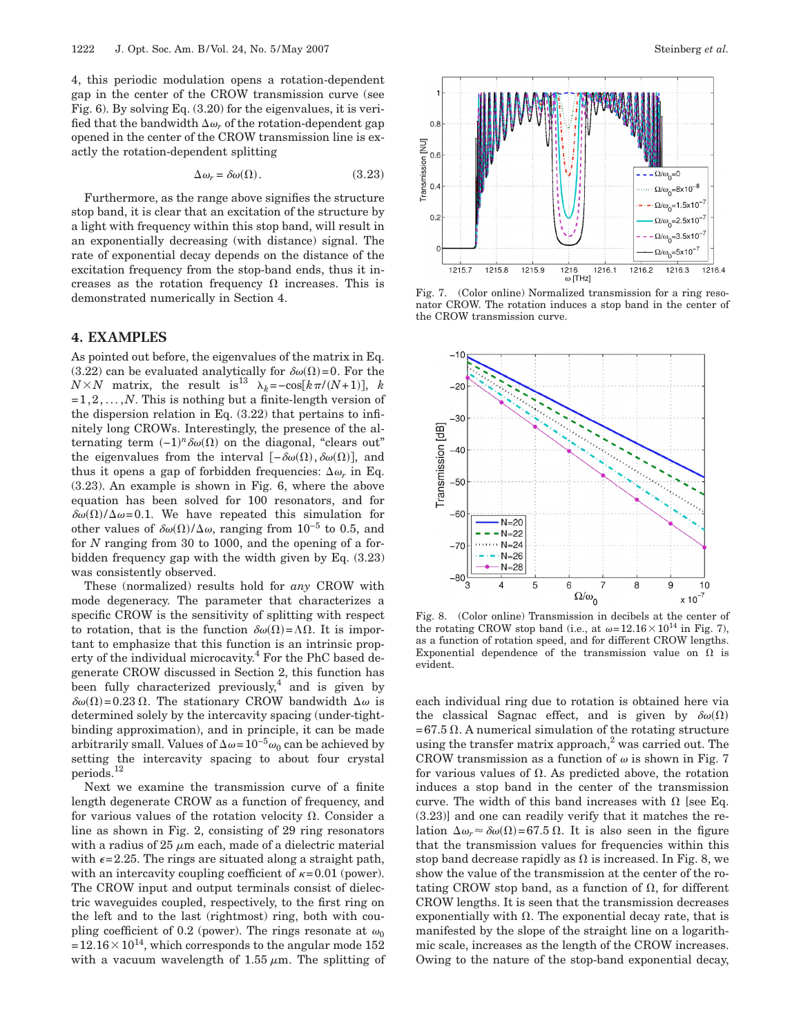4, this periodic modulation opens a rotation-dependent gap in the center of the CROW transmission curve (see Fig. 6). By solving Eq. (3.20) for the eigenvalues, it is verified that the bandwidth  $\Delta \omega_r$  of the rotation-dependent gap opened in the center of the CROW transmission line is exactly the rotation-dependent splitting

$$
\Delta \omega_r = \delta \omega(\Omega). \tag{3.23}
$$

Furthermore, as the range above signifies the structure stop band, it is clear that an excitation of the structure by a light with frequency within this stop band, will result in an exponentially decreasing (with distance) signal. The rate of exponential decay depends on the distance of the excitation frequency from the stop-band ends, thus it increases as the rotation frequency  $\Omega$  increases. This is demonstrated numerically in Section 4.

### **4. EXAMPLES**

As pointed out before, the eigenvalues of the matrix in Eq. (3.22) can be evaluated analytically for  $\delta \omega(\Omega) = 0$ . For the  $N \times N$  matrix, the result is<sup>13</sup>  $\lambda_k = -\cos[k\pi/(N+1)], k$  $=1,2,\ldots,N$ . This is nothing but a finite-length version of the dispersion relation in Eq. (3.22) that pertains to infinitely long CROWs. Interestingly, the presence of the alternating term  $(-1)^n \delta \omega(\Omega)$  on the diagonal, "clears out" the eigenvalues from the interval  $[-\delta \omega(\Omega), \delta \omega(\Omega)]$ , and thus it opens a gap of forbidden frequencies:  $\Delta \omega_r$  in Eq. (3.23). An example is shown in Fig. 6, where the above equation has been solved for 100 resonators, and for  $\delta\omega(\Omega)/\Delta\omega$ =0.1. We have repeated this simulation for other values of  $\delta \omega(\Omega) / \Delta \omega$ , ranging from 10<sup>-5</sup> to 0.5, and for *N* ranging from 30 to 1000, and the opening of a forbidden frequency gap with the width given by Eq. (3.23) was consistently observed.

These (normalized) results hold for *any* CROW with mode degeneracy. The parameter that characterizes a specific CROW is the sensitivity of splitting with respect to rotation, that is the function  $\delta \omega(\Omega) = \Lambda \Omega$ . It is important to emphasize that this function is an intrinsic property of the individual microcavity.<sup>4</sup> For the PhC based degenerate CROW discussed in Section 2, this function has been fully characterized previously, and is given by  $\delta\omega(\Omega)$ =0.23  $\Omega$ . The stationary CROW bandwidth  $\Delta\omega$  is determined solely by the intercavity spacing (under-tightbinding approximation), and in principle, it can be made arbitrarily small. Values of  $\Delta \omega = 10^{-5} \omega_0$  can be achieved by setting the intercavity spacing to about four crystal periods.12

Next we examine the transmission curve of a finite length degenerate CROW as a function of frequency, and for various values of the rotation velocity  $\Omega$ . Consider a line as shown in Fig. 2, consisting of 29 ring resonators with a radius of 25  $\mu$ m each, made of a dielectric material with  $\epsilon$ =2.25. The rings are situated along a straight path, with an intercavity coupling coefficient of  $\kappa = 0.01$  (power). The CROW input and output terminals consist of dielectric waveguides coupled, respectively, to the first ring on the left and to the last (rightmost) ring, both with coupling coefficient of 0.2 (power). The rings resonate at  $\omega_0$  $=12.16\times10^{14}$ , which corresponds to the angular mode 152 with a vacuum wavelength of 1.55  $\mu$ m. The splitting of



Fig. 7. (Color online) Normalized transmission for a ring resonator CROW. The rotation induces a stop band in the center of the CROW transmission curve.



Fig. 8. (Color online) Transmission in decibels at the center of the rotating CROW stop band (i.e., at  $\omega = 12.16 \times 10^{14}$  in Fig. 7), as a function of rotation speed, and for different CROW lengths. Exponential dependence of the transmission value on  $\Omega$  is evident.

each individual ring due to rotation is obtained here via the classical Sagnac effect, and is given by  $\delta \omega(\Omega)$  $= 67.5 \Omega$ . A numerical simulation of the rotating structure using the transfer matrix approach, $^{2}$  was carried out. The CROW transmission as a function of  $\omega$  is shown in Fig. 7 for various values of  $\Omega$ . As predicted above, the rotation induces a stop band in the center of the transmission curve. The width of this band increases with  $\Omega$  [see Eq. (3.23)] and one can readily verify that it matches the relation  $\Delta \omega_r \approx \delta \omega(\Omega)$ =67.5  $\Omega$ . It is also seen in the figure that the transmission values for frequencies within this stop band decrease rapidly as  $\Omega$  is increased. In Fig. 8, we show the value of the transmission at the center of the rotating CROW stop band, as a function of  $\Omega$ , for different CROW lengths. It is seen that the transmission decreases exponentially with  $\Omega$ . The exponential decay rate, that is manifested by the slope of the straight line on a logarithmic scale, increases as the length of the CROW increases. Owing to the nature of the stop-band exponential decay,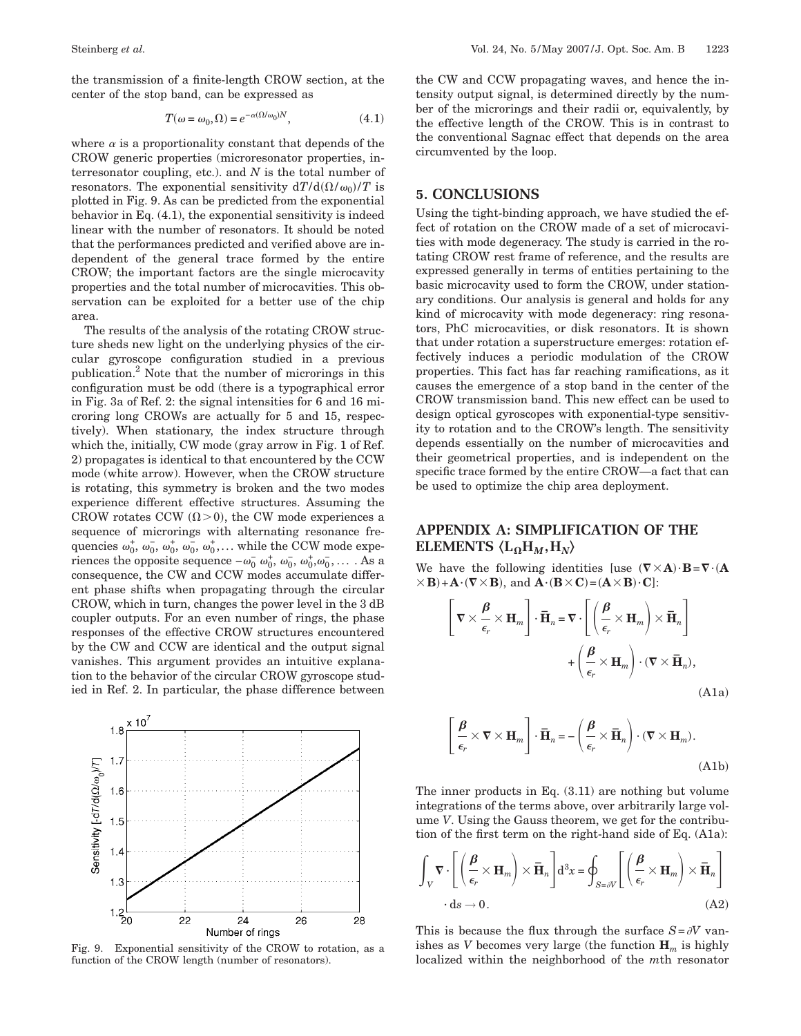the transmission of a finite-length CROW section, at the center of the stop band, can be expressed as

$$
T(\omega = \omega_0, \Omega) = e^{-\alpha(\Omega/\omega_0)N}, \qquad (4.1)
$$

where  $\alpha$  is a proportionality constant that depends of the CROW generic properties (microresonator properties, interresonator coupling, etc.). and *N* is the total number of resonators. The exponential sensitivity  $dT/d(\Omega/\omega_0)/T$  is plotted in Fig. 9. As can be predicted from the exponential behavior in Eq. (4.1), the exponential sensitivity is indeed linear with the number of resonators. It should be noted that the performances predicted and verified above are independent of the general trace formed by the entire CROW; the important factors are the single microcavity properties and the total number of microcavities. This observation can be exploited for a better use of the chip area.

The results of the analysis of the rotating CROW structure sheds new light on the underlying physics of the circular gyroscope configuration studied in a previous publication.2 Note that the number of microrings in this configuration must be odd (there is a typographical error in Fig. 3a of Ref. 2: the signal intensities for 6 and 16 microring long CROWs are actually for 5 and 15, respectively). When stationary, the index structure through which the, initially, CW mode (gray arrow in Fig. 1 of Ref. 2) propagates is identical to that encountered by the CCW mode (white arrow). However, when the CROW structure is rotating, this symmetry is broken and the two modes experience different effective structures. Assuming the CROW rotates CCW  $(\Omega > 0)$ , the CW mode experiences a sequence of microrings with alternating resonance frequencies  $\omega_0^+$ ,  $\omega_0^-$ ,  $\omega_0^+$ ,  $\omega_0^+$ ,  $\omega_0^+$ ,... while the CCW mode experiences the opposite sequence  $-\omega_0^-\omega_0^+$ ,  $\omega_0^-, \omega_0^+$ , $\omega_0^-$ , ... . As a consequence, the CW and CCW modes accumulate different phase shifts when propagating through the circular CROW, which in turn, changes the power level in the 3 dB coupler outputs. For an even number of rings, the phase responses of the effective CROW structures encountered by the CW and CCW are identical and the output signal vanishes. This argument provides an intuitive explanation to the behavior of the circular CROW gyroscope studied in Ref. 2. In particular, the phase difference between



Fig. 9. Exponential sensitivity of the CROW to rotation, as a function of the CROW length (number of resonators).

the CW and CCW propagating waves, and hence the intensity output signal, is determined directly by the number of the microrings and their radii or, equivalently, by the effective length of the CROW. This is in contrast to the conventional Sagnac effect that depends on the area circumvented by the loop.

## **5. CONCLUSIONS**

Using the tight-binding approach, we have studied the effect of rotation on the CROW made of a set of microcavities with mode degeneracy. The study is carried in the rotating CROW rest frame of reference, and the results are expressed generally in terms of entities pertaining to the basic microcavity used to form the CROW, under stationary conditions. Our analysis is general and holds for any kind of microcavity with mode degeneracy: ring resonators, PhC microcavities, or disk resonators. It is shown that under rotation a superstructure emerges: rotation effectively induces a periodic modulation of the CROW properties. This fact has far reaching ramifications, as it causes the emergence of a stop band in the center of the CROW transmission band. This new effect can be used to design optical gyroscopes with exponential-type sensitivity to rotation and to the CROW's length. The sensitivity depends essentially on the number of microcavities and their geometrical properties, and is independent on the specific trace formed by the entire CROW—a fact that can be used to optimize the chip area deployment.

# **APPENDIX A: SIMPLIFICATION OF THE ELEMENTS**  $\langle L_{\Omega}H_M, H_N \rangle$

We have the following identities [use  $(\nabla \times \mathbf{A}) \cdot \mathbf{B} = \nabla \cdot (\mathbf{A})$  $\times$  **B**)+**A**·**(** $\nabla \times$ **B**), and **A**·**(B** $\times$ **C**)=**(A** $\times$ **B**)·**C**]:

$$
\left[\nabla \times \frac{\boldsymbol{\beta}}{\epsilon_r} \times \mathbf{H}_m\right] \cdot \mathbf{\bar{H}}_n = \nabla \cdot \left[\left(\frac{\boldsymbol{\beta}}{\epsilon_r} \times \mathbf{H}_m\right) \times \mathbf{\bar{H}}_n\right] + \left(\frac{\boldsymbol{\beta}}{\epsilon_r} \times \mathbf{H}_m\right) \cdot (\nabla \times \mathbf{\bar{H}}_n),
$$
\n(A1a)

$$
\left[\frac{\beta}{\epsilon_r} \times \nabla \times \mathbf{H}_m\right] \cdot \mathbf{\bar{H}}_n = -\left(\frac{\beta}{\epsilon_r} \times \mathbf{\bar{H}}_n\right) \cdot (\nabla \times \mathbf{H}_m). \tag{A1b}
$$

The inner products in Eq. (3.11) are nothing but volume integrations of the terms above, over arbitrarily large volume *V*. Using the Gauss theorem, we get for the contribution of the first term on the right-hand side of Eq. (A1a):

$$
\int_{V} \mathbf{v} \cdot \left[ \left( \frac{\boldsymbol{\beta}}{\epsilon_{r}} \times \mathbf{H}_{m} \right) \times \overline{\mathbf{H}}_{n} \right] d^{3}x = \oint_{S=\partial V} \left[ \left( \frac{\boldsymbol{\beta}}{\epsilon_{r}} \times \mathbf{H}_{m} \right) \times \overline{\mathbf{H}}_{n} \right] \cdot dS \rightarrow 0.
$$
\n(A2)

This is because the flux through the surface  $S = \partial V$  vanishes as *V* becomes very large (the function  $\mathbf{H}_m$  is highly localized within the neighborhood of the *m*th resonator